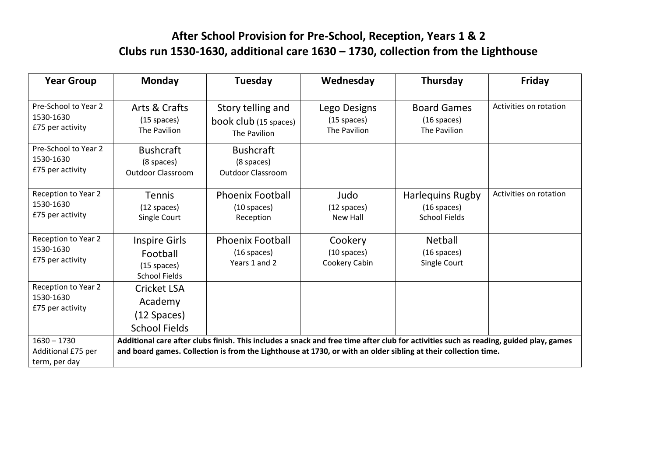## **After School Provision for Pre-School, Reception, Years 1 & 2 Clubs run 1530-1630, additional care 1630 – 1730, collection from the Lighthouse**

| <b>Year Group</b>                                    | <b>Monday</b>                                                                                                                         | Tuesday                                    | Wednesday                      | Thursday                              | <b>Friday</b>          |  |  |
|------------------------------------------------------|---------------------------------------------------------------------------------------------------------------------------------------|--------------------------------------------|--------------------------------|---------------------------------------|------------------------|--|--|
|                                                      |                                                                                                                                       |                                            |                                |                                       |                        |  |  |
| Pre-School to Year 2<br>1530-1630                    | Arts & Crafts<br>$(15$ spaces)                                                                                                        | Story telling and<br>book club (15 spaces) | Lego Designs<br>$(15$ spaces)  | <b>Board Games</b><br>$(16$ spaces)   | Activities on rotation |  |  |
| £75 per activity                                     | The Pavilion                                                                                                                          | The Pavilion                               | The Pavilion                   | The Pavilion                          |                        |  |  |
| Pre-School to Year 2<br>1530-1630                    | <b>Bushcraft</b>                                                                                                                      | <b>Bushcraft</b>                           |                                |                                       |                        |  |  |
| £75 per activity                                     | (8 spaces)<br><b>Outdoor Classroom</b>                                                                                                | (8 spaces)<br><b>Outdoor Classroom</b>     |                                |                                       |                        |  |  |
|                                                      |                                                                                                                                       |                                            |                                |                                       |                        |  |  |
| Reception to Year 2<br>1530-1630                     | <b>Tennis</b>                                                                                                                         | <b>Phoenix Football</b>                    | Judo                           | <b>Harlequins Rugby</b>               | Activities on rotation |  |  |
| £75 per activity                                     | $(12$ spaces)<br>Single Court                                                                                                         | $(10$ spaces)<br>Reception                 | $(12$ spaces)<br>New Hall      | $(16$ spaces)<br><b>School Fields</b> |                        |  |  |
|                                                      |                                                                                                                                       |                                            |                                |                                       |                        |  |  |
| Reception to Year 2<br>1530-1630<br>£75 per activity | Inspire Girls                                                                                                                         | <b>Phoenix Football</b>                    | Cookery                        | Netball                               |                        |  |  |
|                                                      | Football                                                                                                                              | $(16$ spaces)<br>Years 1 and 2             | $(10$ spaces)<br>Cookery Cabin | $(16$ spaces)                         |                        |  |  |
|                                                      | $(15$ spaces)<br><b>School Fields</b>                                                                                                 |                                            |                                | Single Court                          |                        |  |  |
| Reception to Year 2<br>1530-1630<br>£75 per activity | <b>Cricket LSA</b>                                                                                                                    |                                            |                                |                                       |                        |  |  |
|                                                      | Academy                                                                                                                               |                                            |                                |                                       |                        |  |  |
|                                                      | $(12$ Spaces)                                                                                                                         |                                            |                                |                                       |                        |  |  |
|                                                      | <b>School Fields</b>                                                                                                                  |                                            |                                |                                       |                        |  |  |
| $1630 - 1730$                                        | Additional care after clubs finish. This includes a snack and free time after club for activities such as reading, guided play, games |                                            |                                |                                       |                        |  |  |
| Additional £75 per                                   | and board games. Collection is from the Lighthouse at 1730, or with an older sibling at their collection time.                        |                                            |                                |                                       |                        |  |  |
| term, per day                                        |                                                                                                                                       |                                            |                                |                                       |                        |  |  |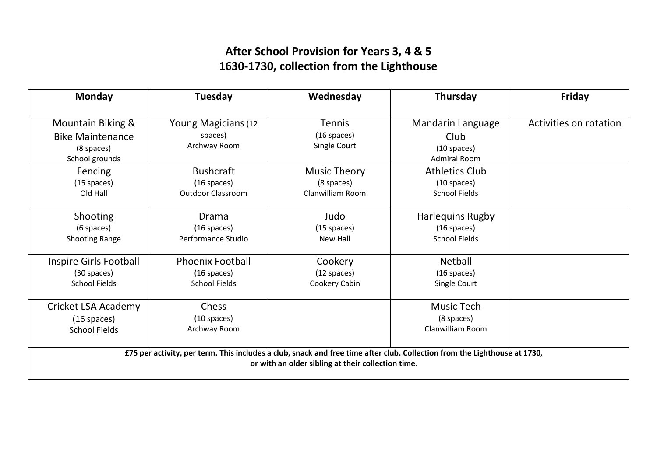## **After School Provision for Years 3, 4 & 5 1630-1730, collection from the Lighthouse**

| <b>Monday</b>                                                                                                                                                                   | Tuesday                                                          | Wednesday                                             | Thursday                                                          | Friday                 |  |  |  |  |
|---------------------------------------------------------------------------------------------------------------------------------------------------------------------------------|------------------------------------------------------------------|-------------------------------------------------------|-------------------------------------------------------------------|------------------------|--|--|--|--|
| Mountain Biking &<br><b>Bike Maintenance</b><br>(8 spaces)<br>School grounds                                                                                                    | Young Magicians (12<br>spaces)<br>Archway Room                   | <b>Tennis</b><br>$(16$ spaces)<br>Single Court        | Mandarin Language<br>Club<br>$(10$ spaces)<br><b>Admiral Room</b> | Activities on rotation |  |  |  |  |
| Fencing<br>$(15$ spaces)<br>Old Hall                                                                                                                                            | <b>Bushcraft</b><br>$(16$ spaces)<br><b>Outdoor Classroom</b>    | <b>Music Theory</b><br>(8 spaces)<br>Clanwilliam Room | <b>Athletics Club</b><br>$(10$ spaces)<br><b>School Fields</b>    |                        |  |  |  |  |
| Shooting<br>(6 spaces)<br><b>Shooting Range</b>                                                                                                                                 | Drama<br>$(16$ spaces)<br>Performance Studio                     | Judo<br>$(15$ spaces)<br><b>New Hall</b>              | <b>Harlequins Rugby</b><br>$(16$ spaces)<br><b>School Fields</b>  |                        |  |  |  |  |
| Inspire Girls Football<br>(30 spaces)<br><b>School Fields</b>                                                                                                                   | <b>Phoenix Football</b><br>$(16$ spaces)<br><b>School Fields</b> | Cookery<br>$(12$ spaces)<br>Cookery Cabin             | Netball<br>$(16$ spaces)<br>Single Court                          |                        |  |  |  |  |
| Cricket LSA Academy<br>$(16$ spaces)<br><b>School Fields</b>                                                                                                                    | <b>Chess</b><br>$(10$ spaces)<br>Archway Room                    |                                                       | <b>Music Tech</b><br>(8 spaces)<br><b>Clanwilliam Room</b>        |                        |  |  |  |  |
| £75 per activity, per term. This includes a club, snack and free time after club. Collection from the Lighthouse at 1730,<br>or with an older sibling at their collection time. |                                                                  |                                                       |                                                                   |                        |  |  |  |  |